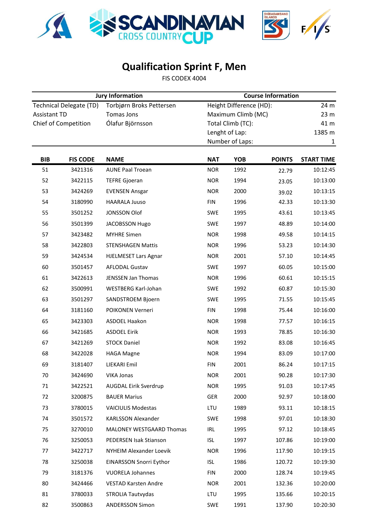

## **Qualification Sprint F, Men**

FIS CODEX 4004

|                                                       |                 | <b>Jury Information</b>                       | <b>Course Information</b>                     |                   |               |                         |  |  |
|-------------------------------------------------------|-----------------|-----------------------------------------------|-----------------------------------------------|-------------------|---------------|-------------------------|--|--|
| <b>Technical Delegate (TD)</b><br><b>Assistant TD</b> |                 | Torbjørn Broks Pettersen<br><b>Tomas Jons</b> | Height Difference (HD):<br>Maximum Climb (MC) |                   |               | 24 m<br>23 <sub>m</sub> |  |  |
| Chief of Competition                                  |                 | Ólafur Björnsson                              |                                               | Total Climb (TC): |               | 41 m                    |  |  |
|                                                       |                 |                                               |                                               | Lenght of Lap:    |               | 1385 m                  |  |  |
|                                                       |                 |                                               |                                               | Number of Laps:   |               | $\mathbf{1}$            |  |  |
| <b>BIB</b>                                            | <b>FIS CODE</b> | <b>NAME</b>                                   | <b>NAT</b>                                    | <b>YOB</b>        | <b>POINTS</b> | <b>START TIME</b>       |  |  |
| 51                                                    | 3421316         | <b>AUNE Paal Troean</b>                       | <b>NOR</b>                                    | 1992              | 22.79         | 10:12:45                |  |  |
| 52                                                    | 3422115         | <b>TEFRE Gjoeran</b>                          | <b>NOR</b>                                    | 1994              | 23.05         | 10:13:00                |  |  |
| 53                                                    | 3424269         | <b>EVENSEN Ansgar</b>                         | <b>NOR</b>                                    | 2000              | 39.02         | 10:13:15                |  |  |
| 54                                                    | 3180990         | <b>HAARALA Juuso</b>                          | <b>FIN</b>                                    | 1996              | 42.33         | 10:13:30                |  |  |
| 55                                                    | 3501252         | <b>JONSSON Olof</b>                           | SWE                                           | 1995              | 43.61         | 10:13:45                |  |  |
| 56                                                    | 3501399         | <b>JACOBSSON Hugo</b>                         | SWE                                           | 1997              | 48.89         | 10:14:00                |  |  |
| 57                                                    | 3423482         | <b>MYHRE Simen</b>                            | <b>NOR</b>                                    | 1998              | 49.58         | 10:14:15                |  |  |
| 58                                                    | 3422803         | <b>STENSHAGEN Mattis</b>                      | <b>NOR</b>                                    | 1996              | 53.23         | 10:14:30                |  |  |
| 59                                                    | 3424534         | <b>HJELMESET Lars Agnar</b>                   | <b>NOR</b>                                    | 2001              | 57.10         | 10:14:45                |  |  |
| 60                                                    | 3501457         | <b>AFLODAL Gustav</b>                         | SWE                                           | 1997              | 60.05         | 10:15:00                |  |  |
| 61                                                    | 3422613         | <b>JENSSEN Jan Thomas</b>                     | <b>NOR</b>                                    | 1996              | 60.61         | 10:15:15                |  |  |
| 62                                                    | 3500991         | WESTBERG Karl-Johan                           | SWE                                           | 1992              | 60.87         | 10:15:30                |  |  |
| 63                                                    | 3501297         | SANDSTROEM Bjoern                             | SWE                                           | 1995              | 71.55         | 10:15:45                |  |  |
| 64                                                    | 3181160         | POIKONEN Verneri                              | <b>FIN</b>                                    | 1998              | 75.44         | 10:16:00                |  |  |
| 65                                                    | 3423303         | ASDOEL Haakon                                 | <b>NOR</b>                                    | 1998              | 77.57         | 10:16:15                |  |  |
| 66                                                    | 3421685         | <b>ASDOEL Eirik</b>                           | <b>NOR</b>                                    | 1993              | 78.85         | 10:16:30                |  |  |
| 67                                                    | 3421269         | <b>STOCK Daniel</b>                           | <b>NOR</b>                                    | 1992              | 83.08         | 10:16:45                |  |  |
| 68                                                    | 3422028         | <b>HAGA Magne</b>                             | <b>NOR</b>                                    | 1994              | 83.09         | 10:17:00                |  |  |
| 69                                                    | 3181407         | LIEKARI Emil                                  | <b>FIN</b>                                    | 2001              | 86.24         | 10:17:15                |  |  |
| 70                                                    | 3424690         | VIKA Jonas                                    | <b>NOR</b>                                    | 2001              | 90.28         | 10:17:30                |  |  |
| 71                                                    | 3422521         | AUGDAL Eirik Sverdrup                         | <b>NOR</b>                                    | 1995              | 91.03         | 10:17:45                |  |  |
| 72                                                    | 3200875         | <b>BAUER Marius</b>                           | GER                                           | 2000              | 92.97         | 10:18:00                |  |  |
| 73                                                    | 3780015         | <b>VAICIULIS Modestas</b>                     | LTU                                           | 1989              | 93.11         | 10:18:15                |  |  |
| 74                                                    | 3501572         | KARLSSON Alexander                            | SWE                                           | 1998              | 97.01         | 10:18:30                |  |  |
| 75                                                    | 3270010         | <b>MALONEY WESTGAARD Thomas</b>               | IRL                                           | 1995              | 97.12         | 10:18:45                |  |  |
| 76                                                    | 3250053         | PEDERSEN Isak Stianson                        | <b>ISL</b>                                    | 1997              | 107.86        | 10:19:00                |  |  |
| 77                                                    | 3422717         | NYHEIM Alexander Loevik                       | <b>NOR</b>                                    | 1996              | 117.90        | 10:19:15                |  |  |
| 78                                                    | 3250038         | EINARSSON Snorri Eythor                       | <b>ISL</b>                                    | 1986              | 120.72        | 10:19:30                |  |  |
| 79                                                    | 3181376         | <b>VUORELA Johannes</b>                       | <b>FIN</b>                                    | 2000              | 128.74        | 10:19:45                |  |  |
| 80                                                    | 3424466         | <b>VESTAD Karsten Andre</b>                   | <b>NOR</b>                                    | 2001              | 132.36        | 10:20:00                |  |  |
| 81                                                    | 3780033         | STROLIA Tautvydas                             | LTU                                           | 1995              | 135.66        | 10:20:15                |  |  |
| 82                                                    | 3500863         | <b>ANDERSSON Simon</b>                        | SWE                                           | 1991              | 137.90        | 10:20:30                |  |  |